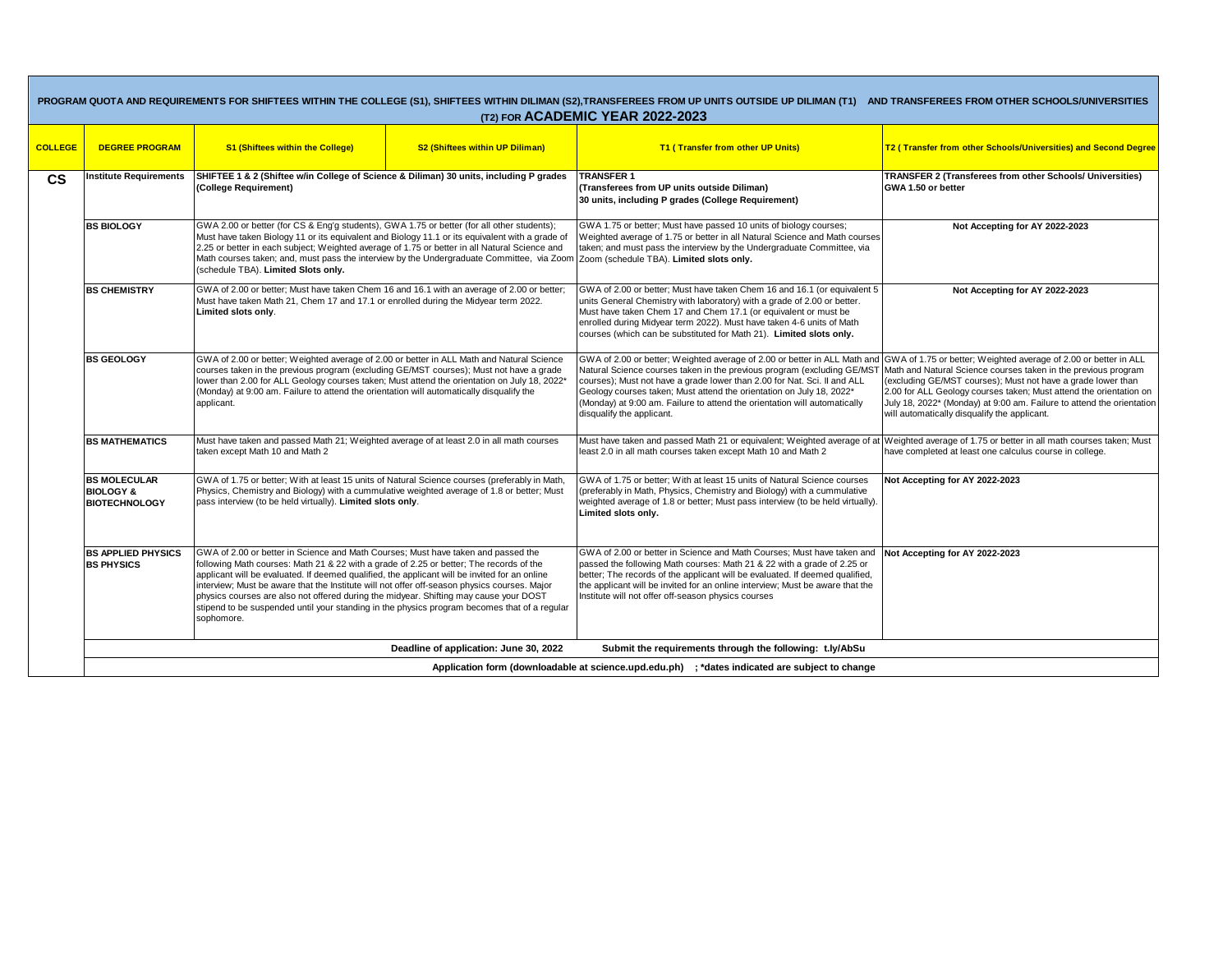| PROGRAM QUOTA AND REQUIREMENTS FOR SHIFTEES WITHIN THE COLLEGE (S1), SHIFTEES WITHIN DILIMAN (S2),TRANSFEREES FROM UP UNITS OUTSIDE UP DILIMAN (T1) AND TRANSFEREES FROM OTHER SCHOOLS/UNIVERSITIES<br>(T2) FOR ACADEMIC YEAR 2022-2023 |                                                                                                |                                                                                                                                                                                                                                                                                                                                                                                                                                                                                                                                                                                      |                                        |                                                                                                                                                                                                                                                                                                                                                                                                                                                                                     |                                                                                                                                                                                                                                                                                                                               |
|-----------------------------------------------------------------------------------------------------------------------------------------------------------------------------------------------------------------------------------------|------------------------------------------------------------------------------------------------|--------------------------------------------------------------------------------------------------------------------------------------------------------------------------------------------------------------------------------------------------------------------------------------------------------------------------------------------------------------------------------------------------------------------------------------------------------------------------------------------------------------------------------------------------------------------------------------|----------------------------------------|-------------------------------------------------------------------------------------------------------------------------------------------------------------------------------------------------------------------------------------------------------------------------------------------------------------------------------------------------------------------------------------------------------------------------------------------------------------------------------------|-------------------------------------------------------------------------------------------------------------------------------------------------------------------------------------------------------------------------------------------------------------------------------------------------------------------------------|
| <b>COLLEGE</b>                                                                                                                                                                                                                          | <b>DEGREE PROGRAM</b>                                                                          | <b>S1 (Shiftees within the College)</b>                                                                                                                                                                                                                                                                                                                                                                                                                                                                                                                                              | <b>S2 (Shiftees within UP Diliman)</b> | T1 (Transfer from other UP Units)                                                                                                                                                                                                                                                                                                                                                                                                                                                   | T2 (Transfer from other Schools/Universities) and Second Degree                                                                                                                                                                                                                                                               |
| <b>CS</b>                                                                                                                                                                                                                               | Institute Requirements                                                                         | SHIFTEE 1 & 2 (Shiftee w/in College of Science & Diliman) 30 units, including P grades<br>(College Requirement)                                                                                                                                                                                                                                                                                                                                                                                                                                                                      |                                        | <b>TRANSFER 1</b><br>(Transferees from UP units outside Diliman)<br>30 units, including P grades (College Requirement)                                                                                                                                                                                                                                                                                                                                                              | <b>TRANSFER 2 (Transferees from other Schools/ Universities)</b><br>GWA 1.50 or better                                                                                                                                                                                                                                        |
|                                                                                                                                                                                                                                         | <b>BS BIOLOGY</b>                                                                              | GWA 2.00 or better (for CS & Eng'g students), GWA 1.75 or better (for all other students);<br>Must have taken Biology 11 or its equivalent and Biology 11.1 or its equivalent with a grade of<br>2.25 or better in each subject; Weighted average of 1.75 or better in all Natural Science and<br>Math courses taken; and, must pass the interview by the Undergraduate Committee, via Zoom<br>(schedule TBA). Limited Slots only.                                                                                                                                                   |                                        | GWA 1.75 or better; Must have passed 10 units of biology courses;<br>Weighted average of 1.75 or better in all Natural Science and Math courses<br>taken; and must pass the interview by the Undergraduate Committee, via<br>Zoom (schedule TBA). Limited slots only.                                                                                                                                                                                                               | Not Accepting for AY 2022-2023                                                                                                                                                                                                                                                                                                |
|                                                                                                                                                                                                                                         | <b>BS CHEMISTRY</b>                                                                            | GWA of 2.00 or better; Must have taken Chem 16 and 16.1 with an average of 2.00 or better;<br>Must have taken Math 21, Chem 17 and 17.1 or enrolled during the Midyear term 2022.<br>Limited slots only.                                                                                                                                                                                                                                                                                                                                                                             |                                        | GWA of 2.00 or better; Must have taken Chem 16 and 16.1 (or equivalent 5<br>units General Chemistry with laboratory) with a grade of 2.00 or better.<br>Must have taken Chem 17 and Chem 17.1 (or equivalent or must be<br>enrolled during Midyear term 2022). Must have taken 4-6 units of Math<br>courses (which can be substituted for Math 21). Limited slots only.                                                                                                             | Not Accepting for AY 2022-2023                                                                                                                                                                                                                                                                                                |
|                                                                                                                                                                                                                                         | <b>BS GEOLOGY</b>                                                                              | GWA of 2.00 or better; Weighted average of 2.00 or better in ALL Math and Natural Science<br>courses taken in the previous program (excluding GE/MST courses); Must not have a grade<br>lower than 2.00 for ALL Geology courses taken; Must attend the orientation on July 18, 2022*<br>(Monday) at 9:00 am. Failure to attend the orientation will automatically disqualify the<br>applicant.                                                                                                                                                                                       |                                        | GWA of 2.00 or better; Weighted average of 2.00 or better in ALL Math and GWA of 1.75 or better; Weighted average of 2.00 or better in ALL<br>Natural Science courses taken in the previous program (excluding GE/MST<br>courses); Must not have a grade lower than 2.00 for Nat. Sci. II and ALL<br>Geology courses taken; Must attend the orientation on July 18, 2022*<br>(Monday) at 9:00 am. Failure to attend the orientation will automatically<br>disqualify the applicant. | Math and Natural Science courses taken in the previous program<br>(excluding GE/MST courses); Must not have a grade lower than<br>2.00 for ALL Geology courses taken; Must attend the orientation on<br>July 18, 2022* (Monday) at 9:00 am. Failure to attend the orientation<br>will automatically disqualify the applicant. |
|                                                                                                                                                                                                                                         | <b>BS MATHEMATICS</b>                                                                          | Must have taken and passed Math 21; Weighted average of at least 2.0 in all math courses<br>taken except Math 10 and Math 2                                                                                                                                                                                                                                                                                                                                                                                                                                                          |                                        | Must have taken and passed Math 21 or equivalent; Weighted average of at<br>east 2.0 in all math courses taken except Math 10 and Math 2                                                                                                                                                                                                                                                                                                                                            | Weighted average of 1.75 or better in all math courses taken; Must<br>have completed at least one calculus course in college.                                                                                                                                                                                                 |
|                                                                                                                                                                                                                                         | <b>BS MOLECULAR</b><br><b>BIOLOGY &amp;</b><br><b>BIOTECHNOLOGY</b>                            | GWA of 1.75 or better; With at least 15 units of Natural Science courses (preferably in Math,<br>Physics, Chemistry and Biology) with a cummulative weighted average of 1.8 or better; Must<br>pass interview (to be held virtually). Limited slots only.                                                                                                                                                                                                                                                                                                                            |                                        | GWA of 1.75 or better; With at least 15 units of Natural Science courses<br>(preferably in Math, Physics, Chemistry and Biology) with a cummulative<br>weighted average of 1.8 or better; Must pass interview (to be held virtually).<br>Limited slots only.                                                                                                                                                                                                                        | Not Accepting for AY 2022-2023                                                                                                                                                                                                                                                                                                |
|                                                                                                                                                                                                                                         | <b>BS APPLIED PHYSICS</b><br><b>BS PHYSICS</b>                                                 | GWA of 2.00 or better in Science and Math Courses; Must have taken and passed the<br>following Math courses: Math 21 & 22 with a grade of 2.25 or better; The records of the<br>applicant will be evaluated. If deemed qualified, the applicant will be invited for an online<br>interview; Must be aware that the Institute will not offer off-season physics courses. Major<br>physics courses are also not offered during the midyear. Shifting may cause your DOST<br>stipend to be suspended until your standing in the physics program becomes that of a regular<br>sophomore. |                                        | GWA of 2.00 or better in Science and Math Courses; Must have taken and Not Accepting for AY 2022-2023<br>passed the following Math courses: Math 21 & 22 with a grade of 2.25 or<br>better; The records of the applicant will be evaluated. If deemed qualified,<br>the applicant will be invited for an online interview; Must be aware that the<br>Institute will not offer off-season physics courses                                                                            |                                                                                                                                                                                                                                                                                                                               |
|                                                                                                                                                                                                                                         |                                                                                                |                                                                                                                                                                                                                                                                                                                                                                                                                                                                                                                                                                                      | Deadline of application: June 30, 2022 | Submit the requirements through the following: t.ly/AbSu                                                                                                                                                                                                                                                                                                                                                                                                                            |                                                                                                                                                                                                                                                                                                                               |
|                                                                                                                                                                                                                                         | Application form (downloadable at science.upd.edu.ph) ; *dates indicated are subject to change |                                                                                                                                                                                                                                                                                                                                                                                                                                                                                                                                                                                      |                                        |                                                                                                                                                                                                                                                                                                                                                                                                                                                                                     |                                                                                                                                                                                                                                                                                                                               |